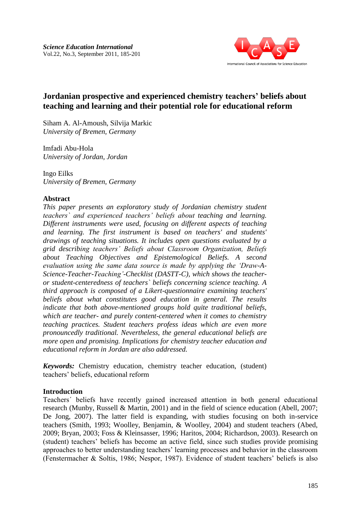

# **Jordanian prospective and experienced chemistry teachers' beliefs about teaching and learning and their potential role for educational reform**

Siham A. Al-Amoush, Silvija Markic *University of Bremen, Germany* 

Imfadi Abu-Hola *University of Jordan, Jordan*

Ingo Eilks *University of Bremen, Germany*

# **Abstract**

*This paper presents an exploratory study of Jordanian chemistry student teachers` and experienced teachers' beliefs about teaching and learning. Different instruments were used, focusing on different aspects of teaching and learning. The first instrument is based on teachers' and students' drawings of teaching situations. It includes open questions evaluated by a grid describing teachers' Beliefs about Classroom Organization, Beliefs about Teaching Objectives and Epistemological Beliefs. A second evaluation using the same data source is made by applying the 'Draw-A-Science-Teacher-Teaching'-Checklist (DASTT-C), which shows the teacheror student-centeredness of teachers` beliefs concerning science teaching. A third approach is composed of a Likert-questionnaire examining teachers' beliefs about what constitutes good education in general. The results indicate that both above-mentioned groups hold quite traditional beliefs, which are teacher- and purely content-centered when it comes to chemistry teaching practices. Student teachers profess ideas which are even more pronouncedly traditional. Nevertheless, the general educational beliefs are more open and promising. Implications for chemistry teacher education and educational reform in Jordan are also addressed.*

*Keywords:* Chemistry education, chemistry teacher education, (student) teachers' beliefs, educational reform

# **Introduction**

Teachers´ beliefs have recently gained increased attention in both general educational research (Munby, Russell & Martin, 2001) and in the field of science education (Abell, 2007; De Jong, 2007). The latter field is expanding, with studies focusing on both in-service teachers (Smith, 1993; Woolley, Benjamin, & Woolley, 2004) and student teachers (Abed, 2009; Bryan, 2003; Foss & Kleinsasser, 1996; Haritos, 2004; Richardson, 2003). Research on (student) teachers' beliefs has become an active field, since such studies provide promising approaches to better understanding teachers' learning processes and behavior in the classroom (Fenstermacher & Soltis, 1986; Nespor, 1987). Evidence of student teachers' beliefs is also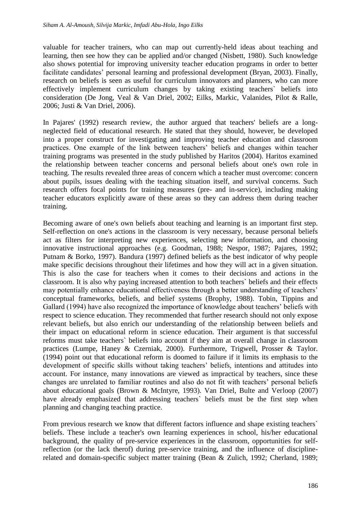valuable for teacher trainers, who can map out currently-held ideas about teaching and learning, then see how they can be applied and/or changed (Nisbett, 1980). Such knowledge also shows potential for improving university teacher education programs in order to better facilitate candidates' personal learning and professional development (Bryan, 2003). Finally, research on beliefs is seen as useful for curriculum innovators and planners, who can more effectively implement curriculum changes by taking existing teachers` beliefs into consideration (De Jong, Veal & Van Driel, 2002; Eilks, Markic, Valanides, Pilot & Ralle, 2006; Justi & Van Driel, 2006).

In Pajares' (1992) research review, the author argued that teachers' beliefs are a longneglected field of educational research. He stated that they should, however, be developed into a proper construct for investigating and improving teacher education and classroom practices. One example of the link between teachers' beliefs and changes within teacher training programs was presented in the study published by Haritos (2004). Haritos examined the relationship between teacher concerns and personal beliefs about one's own role in teaching. The results revealed three areas of concern which a teacher must overcome: concern about pupils, issues dealing with the teaching situation itself, and survival concerns. Such research offers focal points for training measures (pre- and in-service), including making teacher educators explicitly aware of these areas so they can address them during teacher training.

Becoming aware of one's own beliefs about teaching and learning is an important first step. Self-reflection on one's actions in the classroom is very necessary, because personal beliefs act as filters for interpreting new experiences, selecting new information, and choosing innovative instructional approaches (e.g. Goodman, 1988; Nespor, 1987; Pajares, 1992; Putnam & Borko, 1997). Bandura (1997) defined beliefs as the best indicator of why people make specific decisions throughout their lifetimes and how they will act in a given situation. This is also the case for teachers when it comes to their decisions and actions in the classroom. It is also why paying increased attention to both teachers` beliefs and their effects may potentially enhance educational effectiveness through a better understanding of teachers' conceptual frameworks, beliefs, and belief systems (Brophy, 1988). Tobin, Tippins and Gallard (1994) have also recognized the importance of knowledge about teachers' beliefs with respect to science education. They recommended that further research should not only expose relevant beliefs, but also enrich our understanding of the relationship between beliefs and their impact on educational reform in science education. Their argument is that successful reforms must take teachers` beliefs into account if they aim at overall change in classroom practices (Lumpe, Haney & Czerniak, 2000). Furthermore, Trigwell, Prosser & Taylor. (1994) point out that educational reform is doomed to failure if it limits its emphasis to the development of specific skills without taking teachers' beliefs, intentions and attitudes into account. For instance, many innovations are viewed as impractical by teachers, since these changes are unrelated to familiar routines and also do not fit with teachers' personal beliefs about educational goals (Brown & McIntyre, 1993). Van Driel, Bulte and Verloop (2007) have already emphasized that addressing teachers` beliefs must be the first step when planning and changing teaching practice.

From previous research we know that different factors influence and shape existing teachers` beliefs. These include a teacher's own learning experiences in school, his/her educational background, the quality of pre-service experiences in the classroom, opportunities for selfreflection (or the lack therof) during pre-service training, and the influence of disciplinerelated and domain-specific subject matter training (Bean & Zulich, 1992; Cherland, 1989;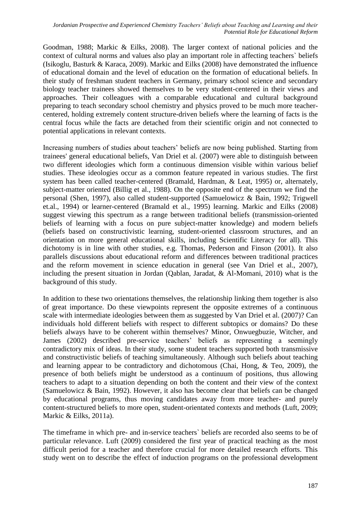Goodman, 1988; Markic & Eilks, 2008). The larger context of national policies and the context of cultural norms and values also play an important role in affecting teachers` beliefs (Isikoglu, Basturk & Karaca, 2009). Markic and Eilks (2008) have demonstrated the influence of educational domain and the level of education on the formation of educational beliefs. In their study of freshman student teachers in Germany, primary school science and secondary biology teacher trainees showed themselves to be very student-centered in their views and approaches. Their colleagues with a comparable educational and cultural background preparing to teach secondary school chemistry and physics proved to be much more teachercentered, holding extremely content structure-driven beliefs where the learning of facts is the central focus while the facts are detached from their scientific origin and not connected to potential applications in relevant contexts.

Increasing numbers of studies about teachers' beliefs are now being published. Starting from trainees' general educational beliefs, Van Driel et al. (2007) were able to distinguish between two different ideologies which form a continuous dimension visible within various belief studies. These ideologies occur as a common feature repeated in various studies. The first system has been called teacher-centered (Bramald, Hardman, & Leat, 1995) or, alternately, subject-matter oriented (Billig et al., 1988). On the opposite end of the spectrum we find the personal (Shen, 1997), also called student-supported (Samuelowicz & Bain, 1992; Trigwell et.al., 1994) or learner-centered (Bramald et al., 1995) learning. Markic and Eilks (2008) suggest viewing this spectrum as a range between traditional beliefs (transmission-oriented beliefs of learning with a focus on pure subject-matter knowledge) and modern beliefs (beliefs based on constructivistic learning, student-oriented classroom structures, and an orientation on more general educational skills, including Scientific Literacy for all). This dichotomy is in line with other studies, e.g. Thomas, Pederson and Finson (2001). It also parallels discussions about educational reform and differences between traditional practices and the reform movement in science education in general (see Van Driel et al., 2007), including the present situation in Jordan (Qablan, Jaradat, & Al-Momani, 2010) what is the background of this study.

In addition to these two orientations themselves, the relationship linking them together is also of great importance. Do these viewpoints represent the opposite extremes of a continuous scale with intermediate ideologies between them as suggested by Van Driel et al. (2007)? Can individuals hold different beliefs with respect to different subtopics or domains? Do these beliefs always have to be coherent within themselves? Minor, Onwuegbuzie, Witcher, and James (2002) described pre-service teachers' beliefs as representing a seemingly contradictory mix of ideas. In their study, some student teachers supported both transmissive and constructivistic beliefs of teaching simultaneously. Although such beliefs about teaching and learning appear to be contradictory and dichotomous (Chai, Hong, & Teo, 2009), the presence of both beliefs might be understood as a continuum of positions, thus allowing teachers to adapt to a situation depending on both the content and their view of the context (Samuelowicz & Bain, 1992). However, it also has become clear that beliefs can be changed by educational programs, thus moving candidates away from more teacher- and purely content-structured beliefs to more open, student-orientated contexts and methods (Luft, 2009; Markic & Eilks, 2011a).

The timeframe in which pre- and in-service teachers` beliefs are recorded also seems to be of particular relevance. Luft (2009) considered the first year of practical teaching as the most difficult period for a teacher and therefore crucial for more detailed research efforts. This study went on to describe the effect of induction programs on the professional development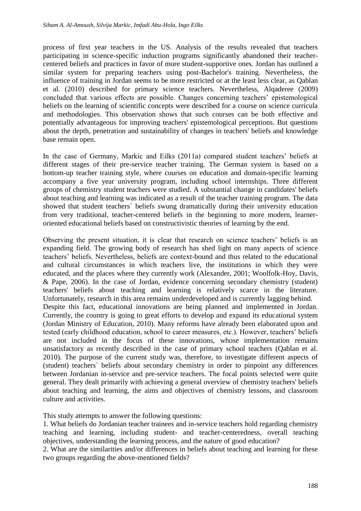process of first year teachers in the US. Analysis of the results revealed that teachers participating in science-specific induction programs significantly abandoned their teachercentered beliefs and practices in favor of more student-supportive ones. Jordan has outlined a similar system for preparing teachers using post-Bachelor's training. Nevertheless, the influence of training in Jordan seems to be more restricted or at the least less clear, as Qablan et al. (2010) described for primary science teachers. Nevertheless, Alqaderee (2009) concluded that various effects are possible. Changes concerning teachers' epistemological beliefs on the learning of scientific concepts were described for a course on science curricula and methodologies. This observation shows that such courses can be both effective and potentially advantageous for improving teachers' epistemological perceptions. But questions about the depth, penetration and sustainability of changes in teachers' beliefs and knowledge base remain open.

In the case of Germany, Markic and Eilks (2011a) compared student teachers' beliefs at different stages of their pre-service teacher training. The German system is based on a bottom-up teacher training style, where courses on education and domain-specific learning accompany a five year university program, including school internships. Three different groups of chemistry student teachers were studied. A substantial change in candidates' beliefs about teaching and learning was indicated as a result of the teacher training program. The data showed that student teachers` beliefs swung dramatically during their university education from very traditional, teacher-centered beliefs in the beginning to more modern, learneroriented educational beliefs based on constructivistic theories of learning by the end.

Observing the present situation, it is clear that research on science teachers' beliefs is an expanding field. The growing body of research has shed light on many aspects of science teachers' beliefs. Nevertheless, beliefs are context-bound and thus related to the educational and cultural circumstances in which teachers live, the institutions in which they were educated, and the places where they currently work (Alexander, 2001; Woolfolk-Hoy, Davis, & Pape, 2006). In the case of Jordan, evidence concerning secondary chemistry (student) teachers' beliefs about teaching and learning is relatively scarce in the literature. Unfortunately, research in this area remains underdeveloped and is currently lagging behind. Despite this fact, educational innovations are being planned and implemented in Jordan. Currently, the country is going to great efforts to develop and expand its educational system (Jordan Ministry of Education, 2010). Many reforms have already been elaborated upon and tested (early childhood education, school to career measures, etc.). However, teachers' beliefs are not included in the focus of these innovations, whose implementation remains unsatisfactory as recently described in the case of primary school teachers (Qablan et al. 2010). The purpose of the current study was, therefore, to investigate different aspects of (student) teachers` beliefs about secondary chemistry in order to pinpoint any differences between Jordanian in-service and pre-service teachers. The focal points selected were quite general. They dealt primarily with achieving a general overview of chemistry teachers' beliefs about teaching and learning, the aims and objectives of chemistry lessons, and classroom culture and activities.

This study attempts to answer the following questions:

1. What beliefs do Jordanian teacher trainees and in-service teachers hold regarding chemistry teaching and learning, including student- and teacher-centeredness, overall teaching objectives, understanding the learning process, and the nature of good education?

2. What are the similarities and/or differences in beliefs about teaching and learning for these two groups regarding the above-mentioned fields?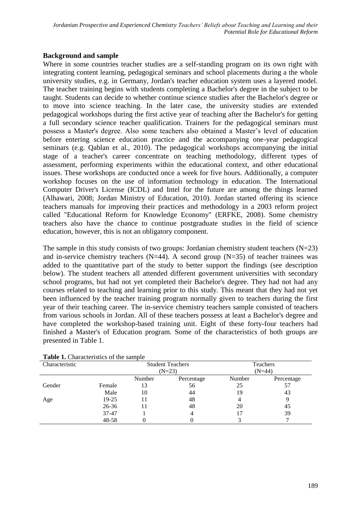# **Background and sample**

Where in some countries teacher studies are a self-standing program on its own right with integrating content learning, pedagogical seminars and school placements during a the whole university studies, e.g. in Germany, Jordan's teacher education system uses a layered model. The teacher training begins with students completing a Bachelor's degree in the subject to be taught. Students can decide to whether continue science studies after the Bachelor's degree or to move into science teaching. In the later case, the university studies are extended pedagogical workshops during the first active year of teaching after the Bachelor's for getting a full secondary science teacher qualification. Trainers for the pedagogical seminars must possess a Master's degree. Also some teachers also obtained a Master's level of education before entering science education practice and the accompanying one-year pedagogical seminars (e.g. Qablan et al., 2010). The pedagogical workshops accompanying the initial stage of a teacher's career concentrate on teaching methodology, different types of assessment, performing experiments within the educational context, and other educational issues. These workshops are conducted once a week for five hours. Additionally, a computer workshop focuses on the use of information technology in education. The International Computer Driver's License (ICDL) and Intel for the future are among the things learned (Alhawari, 2008; Jordan Ministry of Education, 2010). Jordan started offering its science teachers manuals for improving their practices and methodology in a 2003 reform project called "Educational Reform for Knowledge Economy" (ERFKE, 2008). Some chemistry teachers also have the chance to continue postgraduate studies in the field of science education, however, this is not an obligatory component.

The sample in this study consists of two groups: Jordanian chemistry student teachers (N=23) and in-service chemistry teachers (N=44). A second group (N=35) of teacher trainees was added to the quantitative part of the study to better support the findings (see description below). The student teachers all attended different government universities with secondary school programs, but had not yet completed their Bachelor's degree. They had not had any courses related to teaching and learning prior to this study. This meant that they had not yet been influenced by the teacher training program normally given to teachers during the first year of their teaching career. The in-service chemistry teachers sample consisted of teachers from various schools in Jordan. All of these teachers possess at least a Bachelor's degree and have completed the workshop-based training unit. Eight of these forty-four teachers had finished a Master's of Education program. Some of the characteristics of both groups are presented in Table 1.

| <b>Tuble 11 Characteristics</b> of the sample |           |                         |            |          |            |  |
|-----------------------------------------------|-----------|-------------------------|------------|----------|------------|--|
| Characteristic                                |           | <b>Student Teachers</b> |            | Teachers |            |  |
|                                               |           | $(N=23)$                |            | $(N=44)$ |            |  |
|                                               |           | Number                  | Percentage | Number   | Percentage |  |
| Gender                                        | Female    | 13                      | 56         | 25       | 57         |  |
|                                               | Male      | 10                      | 44         | 19       | 43         |  |
| Age                                           | $19-25$   | 11                      | 48         |          |            |  |
|                                               | $26 - 36$ | 11                      | 48         | 20       | 45         |  |
|                                               | 37-47     |                         |            |          | 39         |  |
|                                               | 48-58     |                         |            |          |            |  |

**Table 1.** Characteristics of the sample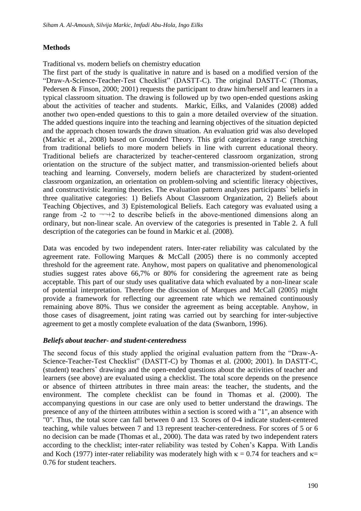# **Methods**

Traditional vs. modern beliefs on chemistry education

The first part of the study is qualitative in nature and is based on a modified version of the "Draw-A-Science-Teacher-Test Checklist" (DASTT-C). The original DASTT-C (Thomas, Pedersen & Finson, 2000; 2001) requests the participant to draw him/herself and learners in a typical classroom situation. The drawing is followed up by two open-ended questions asking about the activities of teacher and students. Markic, Eilks, and Valanides (2008) added another two open-ended questions to this to gain a more detailed overview of the situation. The added questions inquire into the teaching and learning objectives of the situation depicted and the approach chosen towards the drawn situation. An evaluation grid was also developed (Markic et al., 2008) based on Grounded Theory. This grid categorizes a range stretching from traditional beliefs to more modern beliefs in line with current educational theory. Traditional beliefs are characterized by teacher-centered classroom organization, strong orientation on the structure of the subject matter, and transmission-oriented beliefs about teaching and learning. Conversely, modern beliefs are characterized by student-oriented classroom organization, an orientation on problem-solving and scientific literacy objectives, and constructivistic learning theories. The evaluation pattern analyzes participants` beliefs in three qualitative categories: 1) Beliefs About Classroom Organization, 2) Beliefs about Teaching Objectives, and 3) Epistemological Beliefs. Each category was evaluated using a range from  $-2$  to  $\neg\neg +2$  to describe beliefs in the above-mentioned dimensions along an ordinary, but non-linear scale. An overview of the categories is presented in Table 2. A full description of the categories can be found in Markic et al. (2008).

Data was encoded by two independent raters. Inter-rater reliability was calculated by the agreement rate. Following Marques & McCall (2005) there is no commonly accepted threshold for the agreement rate. Anyhow, most papers on qualitative and phenomenological studies suggest rates above 66,7% or 80% for considering the agreement rate as being acceptable. This part of our study uses qualitative data which evaluated by a non-linear scale of potential interpretation. Therefore the discussion of Marques and McCall (2005) might provide a framework for reflecting our agreement rate which we remained continuously remaining above 80%. Thus we consider the agreement as being acceptable. Anyhow, in those cases of disagreement, joint rating was carried out by searching for inter-subjective agreement to get a mostly complete evaluation of the data (Swanborn, 1996).

# *Beliefs about teacher- and student-centeredness*

The second focus of this study applied the original evaluation pattern from the "Draw-A-Science-Teacher-Test Checklist" (DASTT-C) by Thomas et al. (2000; 2001). In DASTT-C, (student) teachers` drawings and the open-ended questions about the activities of teacher and learners (see above) are evaluated using a checklist. The total score depends on the presence or absence of thirteen attributes in three main areas: the teacher, the students, and the environment. The complete checklist can be found in Thomas et al. (2000). The accompanying questions in our case are only used to better understand the drawings. The presence of any of the thirteen attributes within a section is scored with a "1", an absence with "0". Thus, the total score can fall between 0 and 13. Scores of 0-4 indicate student-centered teaching, while values between 7 and 13 represent teacher-centeredness. For scores of 5 or 6 no decision can be made (Thomas et al., 2000). The data was rated by two independent raters according to the checklist; inter-rater reliability was tested by Cohen's Kappa. With Landis and Koch (1977) inter-rater reliability was moderately high with  $\kappa = 0.74$  for teachers and  $\kappa =$ 0.76 for student teachers.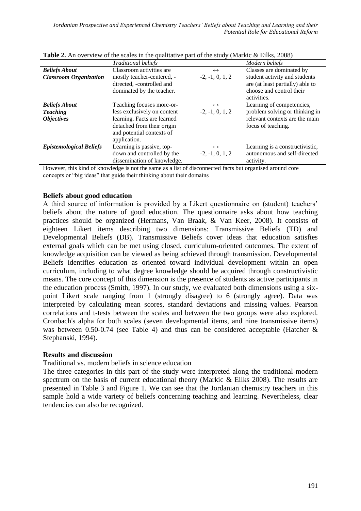|                                             | <b>Traditional beliefs</b>                                                                                                            |                                        | Modern beliefs                                                                                               |
|---------------------------------------------|---------------------------------------------------------------------------------------------------------------------------------------|----------------------------------------|--------------------------------------------------------------------------------------------------------------|
| <b>Beliefs About</b>                        | Classroom activities are                                                                                                              | $\leftrightarrow$                      | Classes are dominated by                                                                                     |
| <b>Classroom Organization</b>               | mostly teacher-centered, -<br>directed, -controlled and<br>dominated by the teacher.                                                  | $-2, -1, 0, 1, 2$                      | student activity and students<br>are (at least partially) able to<br>choose and control their<br>activities. |
| <b>Beliefs About</b>                        | Teaching focuses more-or-                                                                                                             | $\leftrightarrow$                      | Learning of competencies,                                                                                    |
| <b>Teaching</b><br><i><b>Objectives</b></i> | less exclusively on content<br>learning. Facts are learned<br>detached from their origin<br>and potential contexts of<br>application. | $-2, -1, 0, 1, 2$                      | problem solving or thinking in<br>relevant contexts are the main<br>focus of teaching.                       |
| <b>Epistemological Beliefs</b>              | Learning is passive, top-<br>down and controlled by the<br>dissemination of knowledge.                                                | $\leftrightarrow$<br>$-2, -1, 0, 1, 2$ | Learning is a constructivistic,<br>autonomous and self-directed<br>activity.                                 |

**Table 2.** An overview of the scales in the qualitative part of the study (Markic & Eilks, 2008)

However, this kind of knowledge is not the same as a list of disconnected facts but organised around core concepts or "big ideas" that guide their thinking about their domains

### **Beliefs about good education**

A third source of information is provided by a Likert questionnaire on (student) teachers' beliefs about the nature of good education. The questionnaire asks about how teaching practices should be organized (Hermans, Van Braak, & Van Keer, 2008). It consists of eighteen Likert items describing two dimensions: Transmissive Beliefs (TD) and Developmental Beliefs (DB). Transmissive Beliefs cover ideas that education satisfies external goals which can be met using closed, curriculum-oriented outcomes. The extent of knowledge acquisition can be viewed as being achieved through transmission. Developmental Beliefs identifies education as oriented toward individual development within an open curriculum, including to what degree knowledge should be acquired through constructivistic means. The core concept of this dimension is the presence of students as active participants in the education process (Smith, 1997). In our study, we evaluated both dimensions using a sixpoint Likert scale ranging from 1 (strongly disagree) to 6 (strongly agree). Data was interpreted by calculating mean scores, standard deviations and missing values. Pearson correlations and t-tests between the scales and between the two groups were also explored. Cronbach's alpha for both scales (seven developmental items, and nine transmissive items) was between 0.50-0.74 (see Table 4) and thus can be considered acceptable (Hatcher & Stephanski, 1994).

#### **Results and discussion**

#### Traditional vs. modern beliefs in science education

The three categories in this part of the study were interpreted along the traditional-modern spectrum on the basis of current educational theory (Markic & Eilks 2008). The results are presented in Table 3 and Figure 1. We can see that the Jordanian chemistry teachers in this sample hold a wide variety of beliefs concerning teaching and learning. Nevertheless, clear tendencies can also be recognized.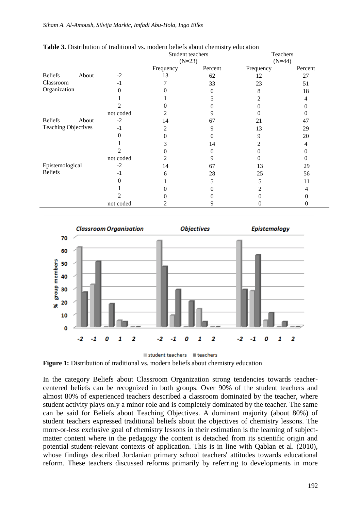| <b>Table 5.</b> Distribution of traditional vs. modern benefis about chemistry cuttangul |           |                  |         |           |         |  |
|------------------------------------------------------------------------------------------|-----------|------------------|---------|-----------|---------|--|
|                                                                                          |           | Student teachers |         | Teachers  |         |  |
|                                                                                          |           | $(N=23)$         |         | $(N=44)$  |         |  |
|                                                                                          |           | Frequency        | Percent | Frequency | Percent |  |
| <b>Beliefs</b><br>About                                                                  | $-2$      | 13               | 62      | 12        | 27      |  |
| Classroom                                                                                | $-1$      |                  | 33      | 23        | 51      |  |
| Organization                                                                             |           |                  |         | 8         | 18      |  |
|                                                                                          |           |                  |         |           |         |  |
|                                                                                          |           |                  |         |           |         |  |
|                                                                                          | not coded |                  |         |           |         |  |
| <b>Beliefs</b><br>About                                                                  | $-2$      | 14               | 67      | 21        | 47      |  |
| <b>Teaching Objectives</b>                                                               | $-1$      | ↑                | q       | 13        | 29      |  |
|                                                                                          |           |                  |         | q         | 20      |  |
|                                                                                          |           |                  | 14      |           | 4       |  |
|                                                                                          |           |                  |         |           |         |  |
|                                                                                          | not coded |                  |         |           |         |  |
| Epistemological                                                                          | $-2$      | 14               | 67      | 13        | 29      |  |
| <b>Beliefs</b>                                                                           | $-1$      | 6                | 28      | 25        | 56      |  |
|                                                                                          |           |                  |         |           | 11      |  |
|                                                                                          |           |                  |         |           |         |  |
|                                                                                          |           |                  |         |           |         |  |
|                                                                                          | not coded |                  |         |           |         |  |

#### **Table 3.** Distribution of traditional vs. modern beliefs about chemistry education



**Figure 1:** Distribution of traditional vs. modern beliefs about chemistry education

In the category Beliefs about Classroom Organization strong tendencies towards teachercentered beliefs can be recognized in both groups. Over 90% of the student teachers and almost 80% of experienced teachers described a classroom dominated by the teacher, where student activity plays only a minor role and is completely dominated by the teacher. The same can be said for Beliefs about Teaching Objectives. A dominant majority (about 80%) of student teachers expressed traditional beliefs about the objectives of chemistry lessons. The more-or-less exclusive goal of chemistry lessons in their estimation is the learning of subjectmatter content where in the pedagogy the content is detached from its scientific origin and potential student-relevant contexts of application. This is in line with Qablan et al. (2010), whose findings described Jordanian primary school teachers' attitudes towards educational reform. These teachers discussed reforms primarily by referring to developments in more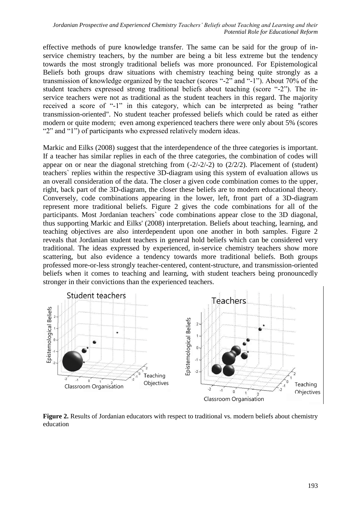effective methods of pure knowledge transfer. The same can be said for the group of inservice chemistry teachers, by the number are being a bit less extreme but the tendency towards the most strongly traditional beliefs was more pronounced. For Epistemological Beliefs both groups draw situations with chemistry teaching being quite strongly as a transmission of knowledge organized by the teacher (scores "-2" and "-1"). About 70% of the student teachers expressed strong traditional beliefs about teaching (score "-2"). The inservice teachers were not as traditional as the student teachers in this regard. The majority received a score of "-1" in this category, which can be interpreted as being "rather transmission-oriented". No student teacher professed beliefs which could be rated as either modern or quite modern; even among experienced teachers there were only about 5% (scores "2" and "1") of participants who expressed relatively modern ideas.

Markic and Eilks (2008) suggest that the interdependence of the three categories is important. If a teacher has similar replies in each of the three categories, the combination of codes will appear on or near the diagonal stretching from  $(-2/-2/-2)$  to  $(2/2/2)$ . Placement of (student) teachers` replies within the respective 3D-diagram using this system of evaluation allows us an overall consideration of the data. The closer a given code combination comes to the upper, right, back part of the 3D-diagram, the closer these beliefs are to modern educational theory. Conversely, code combinations appearing in the lower, left, front part of a 3D-diagram represent more traditional beliefs. Figure 2 gives the code combinations for all of the participants. Most Jordanian teachers` code combinations appear close to the 3D diagonal, thus supporting Markic and Eilks' (2008) interpretation. Beliefs about teaching, learning, and teaching objectives are also interdependent upon one another in both samples. Figure 2 reveals that Jordanian student teachers in general hold beliefs which can be considered very traditional. The ideas expressed by experienced, in-service chemistry teachers show more scattering, but also evidence a tendency towards more traditional beliefs. Both groups professed more-or-less strongly teacher-centered, content-structure, and transmission-oriented beliefs when it comes to teaching and learning, with student teachers being pronouncedly stronger in their convictions than the experienced teachers.



**Figure 2.** Results of Jordanian educators with respect to traditional vs. modern beliefs about chemistry education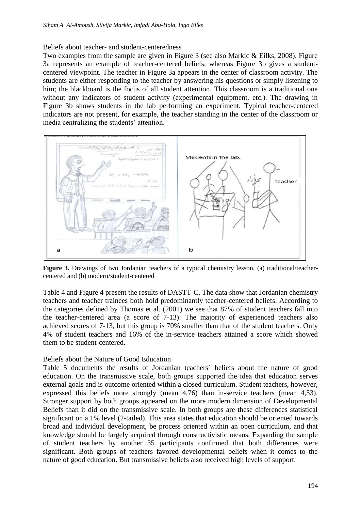### Beliefs about teacher- and student-centeredness

Two examples from the sample are given in Figure 3 (see also Markic & Eilks, 2008). Figure 3a represents an example of teacher-centered beliefs, whereas Figure 3b gives a studentcentered viewpoint. The teacher in Figure 3a appears in the center of classroom activity. The students are either responding to the teacher by answering his questions or simply listening to him; the blackboard is the focus of all student attention. This classroom is a traditional one without any indicators of student activity (experimental equipment, etc.). The drawing in Figure 3b shows students in the lab performing an experiment. Typical teacher-centered indicators are not present, for example, the teacher standing in the center of the classroom or media centralizing the students' attention.



**Figure 3.** Drawings of two Jordanian teachers of a typical chemistry lesson, (a) traditional/teachercentered and (b) modern/student-centered

Table 4 and Figure 4 present the results of DASTT-C. The data show that Jordanian chemistry teachers and teacher trainees both hold predominantly teacher-centered beliefs. According to the categories defined by Thomas et al. (2001) we see that 87% of student teachers fall into the teacher-centered area (a score of 7-13). The majority of experienced teachers also achieved scores of 7-13, but this group is 70% smaller than that of the student teachers. Only 4% of student teachers and 16% of the in-service teachers attained a score which showed them to be student-centered.

#### Beliefs about the Nature of Good Education

Table 5 documents the results of Jordanian teachers` beliefs about the nature of good education. On the transmissive scale, both groups supported the idea that education serves external goals and is outcome oriented within a closed curriculum. Student teachers, however, expressed this beliefs more strongly (mean 4,76) than in-service teachers (mean 4,53). Stronger support by both groups appeared on the more modern dimension of Developmental Beliefs than it did on the transmissive scale. In both groups are these differences statistical significant on a 1% level (2-tailed). This area states that education should be oriented towards broad and individual development, be process oriented within an open curriculum, and that knowledge should be largely acquired through constructivistic means. Expanding the sample of student teachers by another 35 participants confirmed that both differences were significant. Both groups of teachers favored developmental beliefs when it comes to the nature of good education. But transmissive beliefs also received high levels of support.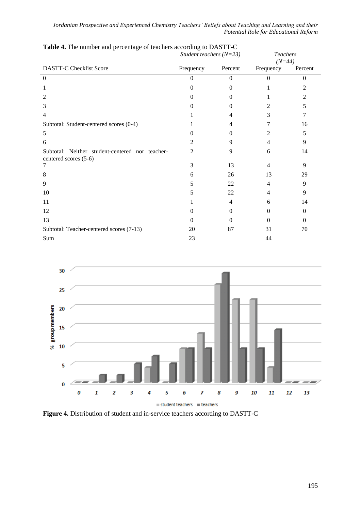|                                                                          | Student teachers $(N=23)$ |          | <b>Teachers</b><br>$(N=44)$ |          |
|--------------------------------------------------------------------------|---------------------------|----------|-----------------------------|----------|
| <b>DASTT-C Checklist Score</b>                                           | Frequency                 | Percent  | Frequency                   | Percent  |
| $\Omega$                                                                 | 0                         | $\Omega$ | $\Omega$                    | $\Omega$ |
| 1                                                                        | 0                         | $\theta$ |                             | 2        |
| 2                                                                        | 0                         | $\Omega$ |                             | 2        |
| 3                                                                        |                           | $\Omega$ | 2                           | 5        |
| 4                                                                        |                           | 4        | 3                           | 7        |
| Subtotal: Student-centered scores (0-4)                                  |                           | 4        |                             | 16       |
| 5                                                                        | 0                         | $\Omega$ | 2                           | 5        |
| 6                                                                        | 2                         | 9        | 4                           | 9        |
| Subtotal: Neither student-centered nor teacher-<br>centered scores (5-6) | 2                         | 9        | 6                           | 14       |
|                                                                          | 3                         | 13       | 4                           | 9        |
| 8                                                                        | 6                         | 26       | 13                          | 29       |
| 9                                                                        | 5                         | 22       | 4                           | 9        |
| 10                                                                       | 5                         | 22       | 4                           | 9        |
| 11                                                                       |                           | 4        | 6                           | 14       |
| 12                                                                       | 0                         | $\Omega$ | $\Omega$                    | $\Omega$ |
| 13                                                                       | 0                         | $\Omega$ | $\Omega$                    | $\theta$ |
| Subtotal: Teacher-centered scores (7-13)                                 | 20                        | 87       | 31                          | 70       |
| Sum                                                                      | 23                        |          | 44                          |          |

| Table 4. The number and percentage of teachers according to DASTT-C |  |
|---------------------------------------------------------------------|--|
|                                                                     |  |

l,



**Figure 4.** Distribution of student and in-service teachers according to DASTT-C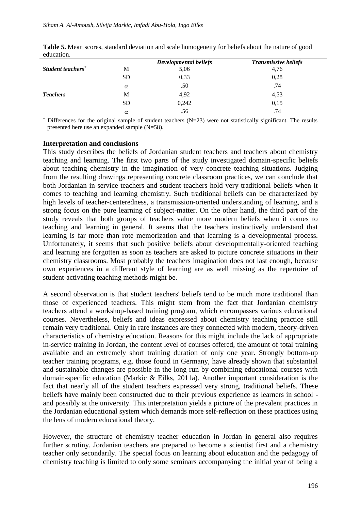|                               |           | <b>Developmental beliefs</b> | <b>Transmissive beliefs</b> |  |
|-------------------------------|-----------|------------------------------|-----------------------------|--|
| Student teachers <sup>+</sup> | M         | 5,06                         | 4,76                        |  |
|                               | <b>SD</b> | 0,33                         | 0,28                        |  |
|                               | $\alpha$  | .50                          | .74                         |  |
| <b>Teachers</b>               | M         | 4,92                         | 4,53                        |  |
|                               | <b>SD</b> | 0,242                        | 0,15                        |  |
|                               | $\alpha$  | .56                          | .74                         |  |

**Table 5.** Mean scores, standard deviation and scale homogeneity for beliefs about the nature of good education.

Differences for the original sample of student teachers (N=23) were not statistically significant. The results presented here use an expanded sample (N=58).

#### **Interpretation and conclusions**

This study describes the beliefs of Jordanian student teachers and teachers about chemistry teaching and learning. The first two parts of the study investigated domain-specific beliefs about teaching chemistry in the imagination of very concrete teaching situations. Judging from the resulting drawings representing concrete classroom practices, we can conclude that both Jordanian in-service teachers and student teachers hold very traditional beliefs when it comes to teaching and learning chemistry. Such traditional beliefs can be characterized by high levels of teacher-centeredness, a transmission-oriented understanding of learning, and a strong focus on the pure learning of subject-matter. On the other hand, the third part of the study reveals that both groups of teachers value more modern beliefs when it comes to teaching and learning in general. It seems that the teachers instinctively understand that learning is far more than rote memorization and that learning is a developmental process. Unfortunately, it seems that such positive beliefs about developmentally-oriented teaching and learning are forgotten as soon as teachers are asked to picture concrete situations in their chemistry classrooms. Most probably the teachers imagination does not last enough, because own experiences in a different style of learning are as well missing as the repertoire of student-activating teaching methods might be.

A second observation is that student teachers' beliefs tend to be much more traditional than those of experienced teachers. This might stem from the fact that Jordanian chemistry teachers attend a workshop-based training program, which encompasses various educational courses. Nevertheless, beliefs and ideas expressed about chemistry teaching practice still remain very traditional. Only in rare instances are they connected with modern, theory-driven characteristics of chemistry education. Reasons for this might include the lack of appropriate in-service training in Jordan, the content level of courses offered, the amount of total training available and an extremely short training duration of only one year. Strongly bottom-up teacher training programs, e.g. those found in Germany, have already shown that substantial and sustainable changes are possible in the long run by combining educational courses with domain-specific education (Markic & Eilks, 2011a). Another important consideration is the fact that nearly all of the student teachers expressed very strong, traditional beliefs. These beliefs have mainly been constructed due to their previous experience as learners in school and possibly at the university. This interpretation yields a picture of the prevalent practices in the Jordanian educational system which demands more self-reflection on these practices using the lens of modern educational theory.

However, the structure of chemistry teacher education in Jordan in general also requires further scrutiny. Jordanian teachers are prepared to become a scientist first and a chemistry teacher only secondarily. The special focus on learning about education and the pedagogy of chemistry teaching is limited to only some seminars accompanying the initial year of being a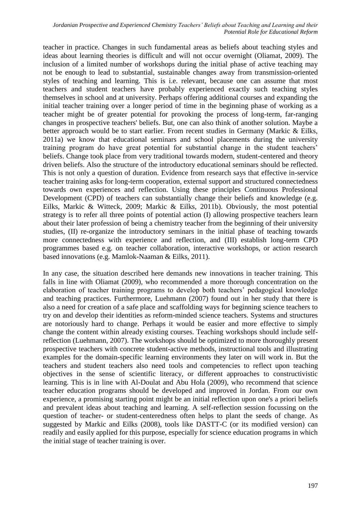teacher in practice. Changes in such fundamental areas as beliefs about teaching styles and ideas about learning theories is difficult and will not occur overnight (Oliamat, 2009). The inclusion of a limited number of workshops during the initial phase of active teaching may not be enough to lead to substantial, sustainable changes away from transmission-oriented styles of teaching and learning. This is i.e. relevant, because one can assume that most teachers and student teachers have probably experienced exactly such teaching styles themselves in school and at university. Perhaps offering additional courses and expanding the initial teacher training over a longer period of time in the beginning phase of working as a teacher might be of greater potential for provoking the process of long-term, far-ranging changes in prospective teachers' beliefs. But, one can also think of another solution. Maybe a better approach would be to start earlier. From recent studies in Germany (Markic & Eilks, 2011a) we know that educational seminars and school placements during the university training program do have great potential for substantial change in the student teachers' beliefs. Change took place from very traditional towards modern, student-centered and theory driven beliefs. Also the structure of the introductory educational seminars should be reflected. This is not only a question of duration. Evidence from research says that effective in-service teacher training asks for long-term cooperation, external support and structured connectedness towards own experiences and reflection. Using these principles Continuous Professional Development (CPD) of teachers can substantially change their beliefs and knowledge (e.g. Eilks, Markic & Witteck, 2009; Markic & Eilks, 2011b). Obviously, the most potential strategy is to refer all three points of potential action (I) allowing prospective teachers learn about their later profession of being a chemistry teacher from the beginning of their university studies, (II) re-organize the introductory seminars in the initial phase of teaching towards more connectedness with experience and reflection, and (III) establish long-term CPD programmes based e.g. on teacher collaboration, interactive workshops, or action research based innovations (e.g. Mamlok-Naaman & Eilks, 2011).

In any case, the situation described here demands new innovations in teacher training. This falls in line with Oliamat (2009), who recommended a more thorough concentration on the elaboration of teacher training programs to develop both teachers' pedagogical knowledge and teaching practices. Furthermore, Luehmann (2007) found out in her study that there is also a need for creation of a safe place and scaffolding ways for beginning science teachers to try on and develop their identities as reform-minded science teachers. Systems and structures are notoriously hard to change. Perhaps it would be easier and more effective to simply change the content within already existing courses. Teaching workshops should include selfreflection (Luehmann, 2007). The workshops should be optimized to more thoroughly present prospective teachers with concrete student-active methods, instructional tools and illustrating examples for the domain-specific learning environments they later on will work in. But the teachers and student teachers also need tools and competencies to reflect upon teaching objectives in the sense of scientific literacy, or different approaches to constructivistic learning. This is in line with Al-Doulat and Abu Hola (2009), who recommend that science teacher education programs should be developed and improved in Jordan. From our own experience, a promising starting point might be an initial reflection upon one's a priori beliefs and prevalent ideas about teaching and learning. A self-reflection session focussing on the question of teacher- or student-centeredness often helps to plant the seeds of change. As suggested by Markic and Eilks (2008), tools like DASTT-C (or its modified version) can readily and easily applied for this purpose, especially for science education programs in which the initial stage of teacher training is over.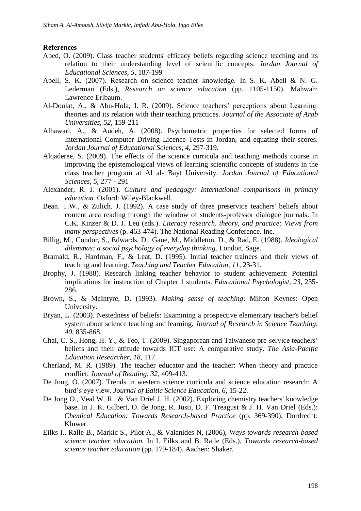#### **References**

- Abed, O. (2009). Class teacher students' efficacy beliefs regarding science teaching and its relation to their understanding level of scientific concepts. *Jordan Journal of Educational Sciences, 5*, 187-199
- Abell, S. K. (2007). Research on science teacher knowledge. In S. K. Abell & N. G. Lederman (Eds.), *Research on science education* (pp. 1105-1150). Mahwah: Lawrence Erlbaum.
- Al-Doulat, A., & Abu-Hola, I. R. (2009). Science teachers' perceptions about Learning. theories and its relation with their teaching practices. *Journal of the Associate of Arab Universities, 52*, 159-211
- Alhawari, A., & Audeh, A. (2008). Psychometric properties for selected forms of International Computer Driving Licence Tests in Jordan, and equating their scores. *Jordan Journal of Educational Sciences, 4*, 297-319.
- Alqaderee, S. (2009). The effects of the science curricula and teaching methods course in improving the epistemological views of learning scientific concepts of students in the class teacher program at Al al- Bayt University. *Jordan Journal of Educational Sciences, 5*, 277 - 291
- Alexander, R. J. (2001). *Culture and pedagogy: International comparisons in primary education.* Osford: Wiley-Blackwell.
- Bean. T.W., & Zulich. J. (1992). A case study of three preservice teachers' beliefs about content area reading through the window of students-professor dialogue journals. In C.K. Kinzer & D. J. Leu (eds.). *Literacy research. theory, and practice: Views from many perspectives* (p. 463-474). The National Reading Conference. Inc.
- Billig, M., Condor, S., Edwards, D., Gane, M., Middleton, D., & Rad, E. (1988). *Ideological dilemmas: a social psychology of everyday thinking*. London, Sage.
- Bramald, R., Hardman, F., & Leat, D. (1995). Initial teacher trainees and their views of teaching and learning. *Teaching and Teacher Education, 11*, 23-31.
- Brophy, J. (1988). Research linking teacher behavior to student achievement: Potential implications for instruction of Chapter 1 students. *Educational Psychologist, 23*, 235- 286.
- Brown, S., & McIntyre, D. (1993). *Making sense of teaching*: Milton Keynes: Open University.
- Bryan, L. (2003). Nestedness of beliefs: Examining a prospective elementary teacher's belief system about science teaching and learning. *Journal of Research in Science Teaching, 40*, 835-868.
- Chai, C. S., Hong, H. Y., & Teo, T. (2009). Singaporean and Taiwanese pre-service teachers' beliefs and their attitude towards ICT use: A comparative study. *The Asia-Pacific Education Researcher, 18*, 117.
- Cherland, M. R. (1989). The teacher educator and the teacher: When theory and practice conflict. *Journal of Reading, 32*, 409-413.
- De Jong, O. (2007). Trends in western science curricula and science education research: A bird's eye view. *Journal of Baltic Science Education, 6*, 15-22.
- De Jong O., Veal W. R., & Van Driel J. H. (2002). Exploring chemistry teachers' knowledge base. In J. K. Gilbert, O. de Jong, R. Justi, D. F. Treagust & J. H. Van Driel (Eds.): *Chemical Education: Towards Research-based Practice* (pp. 369-390), Dordrecht: Kluwer.
- Eilks I., Ralle B., Markic S., Pilot A., & Valanides N, (2006), *Ways towards research-based science teacher education.* In I. Eilks and B. Ralle (Eds.), *Towards research-based science teacher education* (pp. 179-184). Aachen: Shaker.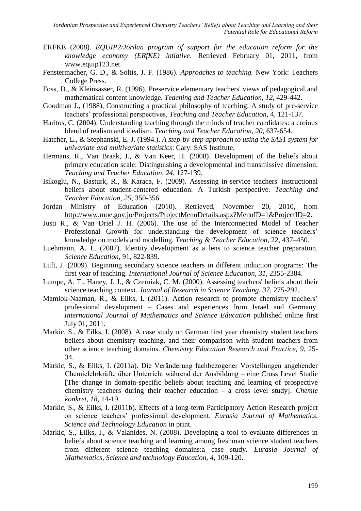- ERFKE (2008). *EQUIP2/Jordan program of support for the education reform for the knowledge economy (ERfKE) intiative*. Retrieved February 01, 2011, from www.equip123.net.
- Fenstermacher, G. D., & Soltis, J. F. (1986). *Approaches to teaching.* New York: Teachers College Press.
- Foss, D., & Kleinsasser, R. (1996). Preservice elementary teachers' views of pedagogical and mathematical content knowledge. *Teaching and Teacher Education, 12*, 429-442.
- Goodman J., (1988), Constructing a practical philosophy of teaching: A study of pre-service teachers' professional perspectives, *Teaching and Teacher Education,* 4, 121-137.
- Haritos, C. (2004). Understanding teaching through the minds of teacher candidates: a curious blend of realism and idealism. *Teaching and Teacher Education, 20*, 637-654.
- Hatcher, L., & Stephanski, E. J. (1994.). *A step-by-step approach to using the SAS1 system for univariate and multivariate statistics*: Cary: SAS Institute.
- Hermans, R., Van Braak, J., & Van Keer, H. (2008). Development of the beliefs about primary education scale: Distinguishing a developmental and transmissive dimension. *Teaching and Teacher Education, 24*, 127-139.
- Isikoglu, N., Basturk, R., & Karaca, F. (2009). Assessing in-service teachers' instructional beliefs about student-centered education: A Turkish perspective. *Teaching and Teacher Education, 25*, 350-356.
- Jordan Ministry of Education (2010). Retrieved, November 20, 2010, from [http://www.moe.gov.jo/Projects/ProjectMenuDetails.aspx?MenuID=1&ProjectID=2.](http://www.moe.gov.jo/Projects/ProjectMenuDetails.aspx?MenuID=1&ProjectID=2)
- Justi R., & Van Driel J. H. (2006). The use of the Interconnected Model of Teacher Professional Growth for understanding the development of science teachers' knowledge on models and modelling. *Teaching & Teacher Education*, 22, 437–450.
- Luehmann, A. L. (2007). Identity development as a lens to science teacher preparation. *Science Education,* 91, 822-839.
- Luft, J. (2009). Beginning secondary science teachers in different induction programs: The first year of teaching. *International Journal of Science Education, 31*, 2355-2384.
- Lumpe, A. T., Haney, J. J., & Czerniak, C. M. (2000). Assessing teachers' beliefs about their science teaching context. *Journal of Research in Science Teaching, 37*, 275-292.
- Mamlok-Naaman, R., & Eilks, I. (2011). Action research to promote chemistry teachers' professional development – Cases and experiences from Israel and Germany. *International Journal of Mathematics and Science Education* published online first July 01, 2011.
- Markic, S., & Eilks, I. (2008). A case study on German first year chemistry student teachers beliefs about chemistry teaching, and their comparison with student teachers from other science teaching domains. *Chemistry Education Research and Practice, 9*, 25- 34.
- Markic, S., & Eilks, I. (2011a). Die Veränderung fachbezogener Vorstellungen angehender Chemielehrkräfte über Unterricht während der Ausbildung – eine Cross Level Studie [The change in domain-specific beliefs about teaching and learning of prospective chemistry teachers during their teacher education - a cross level study]. *Chemie konkret, 18*, 14-19.
- Markic, S., & Eilks, I. (2011b). Effects of a long-term Participatory Action Research project on science teachers' professional development. *Eurasia Journal of Mathematics, Science and Technology Education* in print.
- Markic, S., Eilks, I., & Valanides, N. (2008). Developing a tool to evaluate differences in beliefs about science teaching and learning among freshman science student teachers from different science teaching domains:a case study. *Eurasia Journal of Mathematics, Science and technology Education, 4*, 109-120.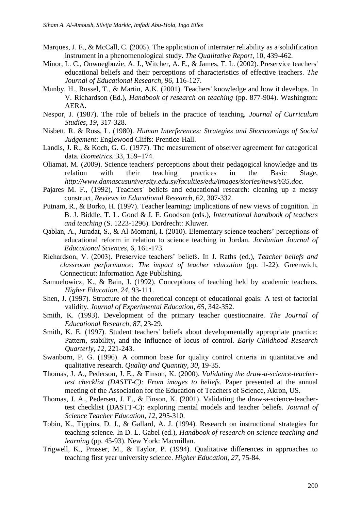- Marques, J. F., & McCall, C. (2005). The application of interrater reliability as a solidification instrument in a phenomenological study. *The Qualitative Report*, 10, 439-462.
- Minor, L. C., Onwuegbuzie, A. J., Witcher, A. E., & James, T. L. (2002). Preservice teachers' educational beliefs and their perceptions of characteristics of effective teachers. *The Journal of Educational Research, 96*, 116-127.
- Munby, H., Russel, T., & Martin, A.K. (2001). Teachers' knowledge and how it develops. In V. Richardson (Ed.), *Handbook of research on teaching* (pp. 877-904). Washington: AERA.
- Nespor, J. (1987). The role of beliefs in the practice of teaching. *Journal of Curriculum Studies, 19*, 317-328.
- Nisbett, R. & Ross, L. (1980). *Human Interferences: Strategies and Shortcomings of Social Judgement*: Englewood Cliffs: Prentice-Hall.
- Landis, J. R., & Koch, G. G. (1977). The measurement of observer agreement for categorical data*. Biometrics.* 33, 159–174.
- Oliamat, M. (2009). Science teachers' perceptions about their pedagogical knowledge and its relation with their teaching practices in the Basic Stage, *http://www.damascusuniversity.edu.sy/faculties/edu/images/stories/news/t/35.doc.*
- Pajares M. F., (1992), Teachers` beliefs and educational research: cleaning up a messy construct, *Reviews in Educational Research,* 62, 307-332.
- Putnam, R., & Borko, H. (1997). Teacher learning: Implications of new views of cognition. In B. J. Biddle, T. L. Good & I. F. Goodson (eds.), *International handbook of teachers and teaching* (S. 1223-1296). Dordrecht: Kluwer.
- Qablan, A., Juradat, S., & Al-Momani, I. (2010). Elementary science teachers' perceptions of educational reform in relation to science teaching in Jordan. *Jordanian Journal of Educational Sciences*, 6, 161-173.
- Richardson, V. (2003). Preservice teachers' beliefs. In J. Raths (ed.), *Teacher beliefs and classroom performance: The impact of teacher education* (pp. 1-22). Greenwich, Connecticut: Information Age Publishing.
- Samuelowicz, K., & Bain, J. (1992). Conceptions of teaching held by academic teachers. *Higher Education, 24*, 93-111.
- Shen, J. (1997). Structure of the theoretical concept of educational goals: A test of factorial validity. *Journal of Experimental Education, 65*, 342-352.
- Smith, K. (1993). Development of the primary teacher questionnaire. *The Journal of Educational Research*, *87*, 23-29.
- Smith, K. E. (1997). Student teachers' beliefs about developmentally appropriate practice: Pattern, stability, and the influence of locus of control. *Early Childhood Research Quarterly, 12*, 221-243.
- Swanborn, P. G. (1996). A common base for quality control criteria in quantitative and qualitative research. *Quality and Quantity, 30*, 19-35.
- Thomas, J. A., Pederson, J. E., & Finson, K. (2000). *Validating the draw-a-science-teachertest checklist (DASTT-C): From images to beliefs*. Paper presented at the annual meeting of the Association for the Education of Teachers of Science, Akron, US.
- Thomas, J. A., Pedersen, J. E., & Finson, K. (2001). Validating the draw-a-science-teachertest checklist (DASTT-C): exploring mental models and teacher beliefs. *Journal of Science Teacher Education, 12*, 295-310.
- Tobin, K., Tippins, D. J., & Gallard, A. J. (1994). Research on instructional strategies for teaching science. In D. L. Gabel (ed.), *Handbook of research on science teaching and learning* (pp. 45-93). New York: Macmillan.
- Trigwell, K., Prosser, M., & Taylor, P. (1994). Qualitative differences in approaches to teaching first year university science. *Higher Education, 27*, 75-84.